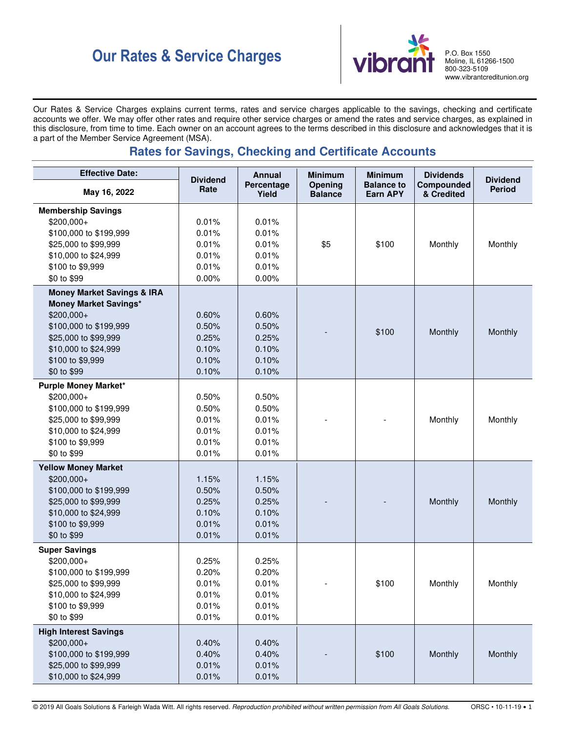# **Our Rates & Service Charges P.O. Box 1550**<br> **Vibrant Rates & Service Charges**



Moline, IL 61266-1500 800-323-5109 www.vibrantcreditunion.org

Our Rates & Service Charges explains current terms, rates and service charges applicable to the savings, checking and certificate accounts we offer. We may offer other rates and require other service charges or amend the rates and service charges, as explained in this disclosure, from time to time. Each owner on an account agrees to the terms described in this disclosure and acknowledges that it is a part of the Member Service Agreement (MSA).

# **Rates for Savings, Checking and Certificate Accounts**

| <b>Effective Date:</b>                       | <b>Dividend</b> | <b>Annual</b>       | <b>Minimum</b>            | <b>Minimum</b>                | <b>Dividends</b>         | <b>Dividend</b> |
|----------------------------------------------|-----------------|---------------------|---------------------------|-------------------------------|--------------------------|-----------------|
| May 16, 2022                                 | Rate            | Percentage<br>Yield | Opening<br><b>Balance</b> | <b>Balance to</b><br>Earn APY | Compounded<br>& Credited | <b>Period</b>   |
| <b>Membership Savings</b>                    |                 |                     |                           |                               |                          |                 |
| \$200,000+                                   | 0.01%           | 0.01%               |                           |                               |                          |                 |
| \$100,000 to \$199,999                       | 0.01%           | 0.01%               |                           |                               |                          |                 |
| \$25,000 to \$99,999                         | 0.01%           | 0.01%               | \$5                       | \$100                         | Monthly                  | Monthly         |
| \$10,000 to \$24,999                         | 0.01%           | 0.01%               |                           |                               |                          |                 |
| \$100 to \$9,999                             | 0.01%           | 0.01%               |                           |                               |                          |                 |
| \$0 to \$99                                  | 0.00%           | 0.00%               |                           |                               |                          |                 |
| <b>Money Market Savings &amp; IRA</b>        |                 |                     |                           |                               |                          |                 |
| <b>Money Market Savings*</b>                 |                 |                     |                           |                               |                          |                 |
| \$200,000+                                   | 0.60%           | 0.60%               |                           |                               |                          |                 |
| \$100,000 to \$199,999                       | 0.50%           | 0.50%               |                           | \$100                         | Monthly                  | Monthly         |
| \$25,000 to \$99,999<br>\$10,000 to \$24,999 | 0.25%<br>0.10%  | 0.25%<br>0.10%      |                           |                               |                          |                 |
| \$100 to \$9,999                             | 0.10%           | 0.10%               |                           |                               |                          |                 |
| \$0 to \$99                                  | 0.10%           | 0.10%               |                           |                               |                          |                 |
| <b>Purple Money Market*</b>                  |                 |                     |                           |                               |                          |                 |
| \$200,000+                                   | 0.50%           | 0.50%               |                           |                               |                          |                 |
| \$100,000 to \$199,999                       | 0.50%           | 0.50%               |                           |                               |                          |                 |
| \$25,000 to \$99,999                         | 0.01%           | 0.01%               |                           |                               | Monthly                  | Monthly         |
| \$10,000 to \$24,999                         | 0.01%           | 0.01%               |                           |                               |                          |                 |
| \$100 to \$9,999                             | 0.01%           | 0.01%               |                           |                               |                          |                 |
| \$0 to \$99                                  | 0.01%           | 0.01%               |                           |                               |                          |                 |
| <b>Yellow Money Market</b>                   |                 |                     |                           |                               |                          |                 |
| \$200,000+                                   | 1.15%           | 1.15%               |                           |                               |                          |                 |
| \$100,000 to \$199,999                       | 0.50%           | 0.50%               |                           |                               |                          |                 |
| \$25,000 to \$99,999                         | 0.25%           | 0.25%               |                           |                               | Monthly                  | Monthly         |
| \$10,000 to \$24,999                         | 0.10%           | 0.10%               |                           |                               |                          |                 |
| \$100 to \$9,999                             | 0.01%           | 0.01%               |                           |                               |                          |                 |
| \$0 to \$99                                  | 0.01%           | 0.01%               |                           |                               |                          |                 |
| <b>Super Savings</b>                         |                 |                     |                           |                               |                          |                 |
| \$200,000+                                   | 0.25%           | 0.25%               |                           |                               |                          |                 |
| \$100,000 to \$199,999                       | 0.20%           | 0.20%               |                           |                               |                          |                 |
| \$25,000 to \$99,999                         | 0.01%           | 0.01%               |                           | \$100                         | Monthly                  | Monthly         |
| \$10,000 to \$24,999                         | 0.01%           | 0.01%               |                           |                               |                          |                 |
| \$100 to \$9,999                             | 0.01%           | 0.01%               |                           |                               |                          |                 |
| \$0 to \$99                                  | 0.01%           | 0.01%               |                           |                               |                          |                 |
| <b>High Interest Savings</b>                 |                 |                     |                           |                               |                          |                 |
| \$200,000+                                   | 0.40%           | 0.40%               |                           |                               |                          |                 |
| \$100,000 to \$199,999                       | 0.40%           | 0.40%               |                           | \$100                         | Monthly                  | Monthly         |
| \$25,000 to \$99,999                         | 0.01%           | 0.01%               |                           |                               |                          |                 |
| \$10,000 to \$24,999                         | 0.01%           | 0.01%               |                           |                               |                          |                 |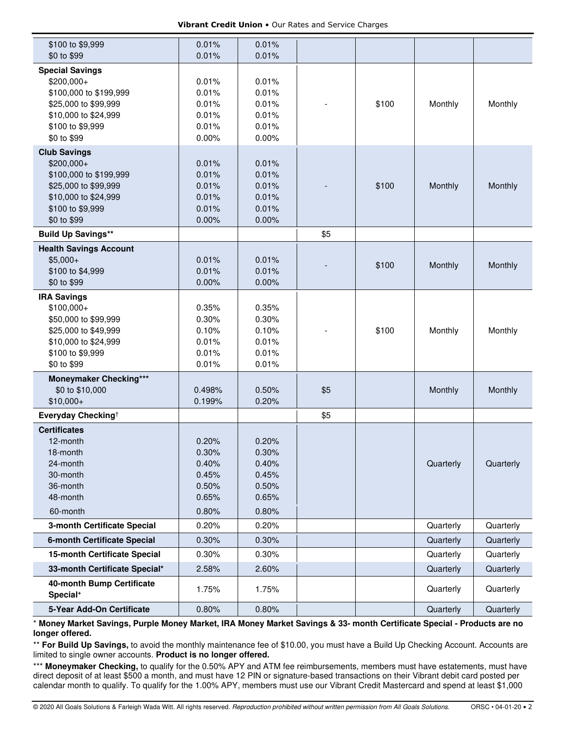| \$100 to \$9,999                   | 0.01%  | 0.01% |     |       |           |           |
|------------------------------------|--------|-------|-----|-------|-----------|-----------|
| \$0 to \$99                        | 0.01%  | 0.01% |     |       |           |           |
| <b>Special Savings</b>             |        |       |     |       |           |           |
| \$200,000+                         | 0.01%  | 0.01% |     |       |           |           |
| \$100,000 to \$199,999             | 0.01%  | 0.01% |     |       |           |           |
| \$25,000 to \$99,999               | 0.01%  | 0.01% |     | \$100 | Monthly   | Monthly   |
| \$10,000 to \$24,999               | 0.01%  | 0.01% |     |       |           |           |
| \$100 to \$9,999                   | 0.01%  | 0.01% |     |       |           |           |
| \$0 to \$99                        | 0.00%  | 0.00% |     |       |           |           |
| <b>Club Savings</b>                |        |       |     |       |           |           |
| \$200,000+                         | 0.01%  | 0.01% |     |       |           |           |
| \$100,000 to \$199,999             | 0.01%  | 0.01% |     |       |           |           |
| \$25,000 to \$99,999               | 0.01%  | 0.01% |     | \$100 | Monthly   | Monthly   |
| \$10,000 to \$24,999               | 0.01%  | 0.01% |     |       |           |           |
| \$100 to \$9,999                   | 0.01%  | 0.01% |     |       |           |           |
| \$0 to \$99                        | 0.00%  | 0.00% |     |       |           |           |
|                                    |        |       |     |       |           |           |
| <b>Build Up Savings**</b>          |        |       | \$5 |       |           |           |
| <b>Health Savings Account</b>      |        |       |     |       |           |           |
| $$5,000+$                          | 0.01%  | 0.01% |     | \$100 | Monthly   | Monthly   |
| \$100 to \$4,999                   | 0.01%  | 0.01% |     |       |           |           |
| \$0 to \$99                        | 0.00%  | 0.00% |     |       |           |           |
| <b>IRA Savings</b>                 |        |       |     |       |           |           |
| $$100,000+$                        | 0.35%  | 0.35% |     |       |           |           |
| \$50,000 to \$99,999               | 0.30%  | 0.30% |     |       |           |           |
| \$25,000 to \$49,999               | 0.10%  | 0.10% |     | \$100 | Monthly   | Monthly   |
| \$10,000 to \$24,999               | 0.01%  | 0.01% |     |       |           |           |
| \$100 to \$9,999                   | 0.01%  | 0.01% |     |       |           |           |
| \$0 to \$99                        | 0.01%  | 0.01% |     |       |           |           |
| <b>Moneymaker Checking***</b>      |        |       |     |       |           |           |
| \$0 to \$10,000                    | 0.498% | 0.50% | \$5 |       | Monthly   | Monthly   |
| $$10,000+$                         | 0.199% | 0.20% |     |       |           |           |
| Everyday Checking <sup>†</sup>     |        |       | \$5 |       |           |           |
| <b>Certificates</b>                |        |       |     |       |           |           |
| 12-month                           | 0.20%  | 0.20% |     |       |           |           |
| 18-month                           | 0.30%  | 0.30% |     |       |           |           |
| 24-month                           | 0.40%  | 0.40% |     |       | Quarterly | Quarterly |
| 30-month                           | 0.45%  | 0.45% |     |       |           |           |
| 36-month                           | 0.50%  | 0.50% |     |       |           |           |
| 48-month                           | 0.65%  | 0.65% |     |       |           |           |
| 60-month                           | 0.80%  | 0.80% |     |       |           |           |
| 3-month Certificate Special        | 0.20%  | 0.20% |     |       | Quarterly | Quarterly |
| <b>6-month Certificate Special</b> | 0.30%  | 0.30% |     |       | Quarterly | Quarterly |
| 15-month Certificate Special       | 0.30%  | 0.30% |     |       | Quarterly | Quarterly |
| 33-month Certificate Special*      | 2.58%  | 2.60% |     |       | Quarterly | Quarterly |
| 40-month Bump Certificate          |        |       |     |       |           |           |
| Special <sup>+</sup>               | 1.75%  | 1.75% |     |       | Quarterly | Quarterly |
| 5-Year Add-On Certificate          | 0.80%  | 0.80% |     |       | Quarterly | Quarterly |

\* **Money Market Savings, Purple Money Market, IRA Money Market Savings & 33- month Certificate Special - Products are no longer offered.** 

\*\* For Build Up Savings, to avoid the monthly maintenance fee of \$10.00, you must have a Build Up Checking Account. Accounts are limited to single owner accounts. **Product is no longer offered.**

\*\*\* Moneymaker Checking, to qualify for the 0.50% APY and ATM fee reimbursements, members must have estatements, must have direct deposit of at least \$500 a month, and must have 12 PIN or signature-based transactions on their Vibrant debit card posted per calendar month to qualify. To qualify for the 1.00% APY, members must use our Vibrant Credit Mastercard and spend at least \$1,000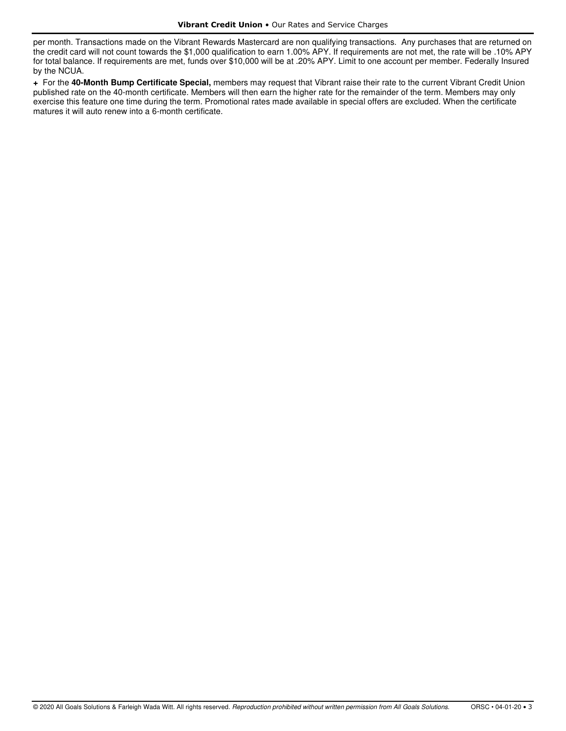per month. Transactions made on the Vibrant Rewards Mastercard are non qualifying transactions. Any purchases that are returned on the credit card will not count towards the \$1,000 qualification to earn 1.00% APY. If requirements are not met, the rate will be .10% APY for total balance. If requirements are met, funds over \$10,000 will be at .20% APY. Limit to one account per member. Federally Insured by the NCUA.

**+** For the **40-Month Bump Certificate Special,** members may request that Vibrant raise their rate to the current Vibrant Credit Union published rate on the 40-month certificate. Members will then earn the higher rate for the remainder of the term. Members may only exercise this feature one time during the term. Promotional rates made available in special offers are excluded. When the certificate matures it will auto renew into a 6-month certificate.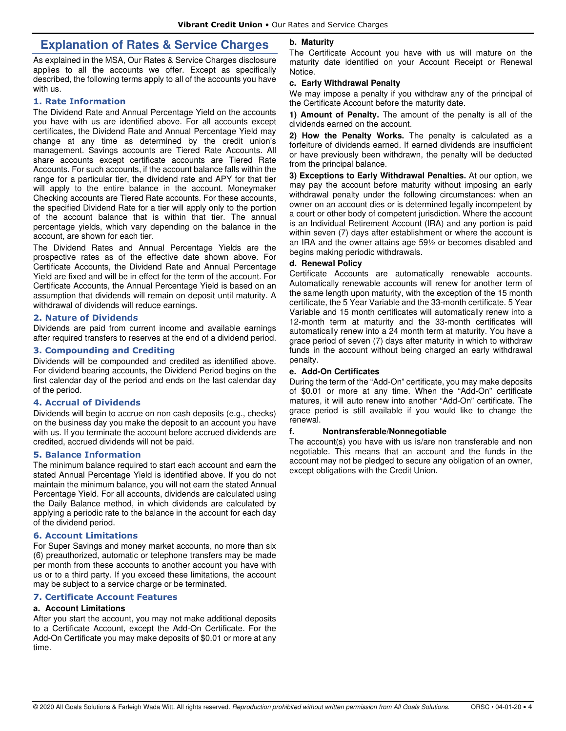# **Explanation of Rates & Service Charges**

As explained in the MSA, Our Rates & Service Charges disclosure applies to all the accounts we offer. Except as specifically described, the following terms apply to all of the accounts you have with us.

### **1. Rate Information**

The Dividend Rate and Annual Percentage Yield on the accounts you have with us are identified above. For all accounts except certificates, the Dividend Rate and Annual Percentage Yield may change at any time as determined by the credit union's management. Savings accounts are Tiered Rate Accounts. All share accounts except certificate accounts are Tiered Rate Accounts. For such accounts, if the account balance falls within the range for a particular tier, the dividend rate and APY for that tier will apply to the entire balance in the account. Moneymaker Checking accounts are Tiered Rate accounts. For these accounts, the specified Dividend Rate for a tier will apply only to the portion of the account balance that is within that tier. The annual percentage yields, which vary depending on the balance in the account, are shown for each tier.

The Dividend Rates and Annual Percentage Yields are the prospective rates as of the effective date shown above. For Certificate Accounts, the Dividend Rate and Annual Percentage Yield are fixed and will be in effect for the term of the account. For Certificate Accounts, the Annual Percentage Yield is based on an assumption that dividends will remain on deposit until maturity. A withdrawal of dividends will reduce earnings.

#### **2. Nature of Dividends**

Dividends are paid from current income and available earnings after required transfers to reserves at the end of a dividend period.

## **3. Compounding and Crediting**

Dividends will be compounded and credited as identified above. For dividend bearing accounts, the Dividend Period begins on the first calendar day of the period and ends on the last calendar day of the period.

### **4. Accrual of Dividends**

Dividends will begin to accrue on non cash deposits (e.g., checks) on the business day you make the deposit to an account you have with us. If you terminate the account before accrued dividends are credited, accrued dividends will not be paid.

#### **5. Balance Information**

The minimum balance required to start each account and earn the stated Annual Percentage Yield is identified above. If you do not maintain the minimum balance, you will not earn the stated Annual Percentage Yield. For all accounts, dividends are calculated using the Daily Balance method, in which dividends are calculated by applying a periodic rate to the balance in the account for each day of the dividend period.

### **6. Account Limitations**

For Super Savings and money market accounts, no more than six (6) preauthorized, automatic or telephone transfers may be made per month from these accounts to another account you have with us or to a third party. If you exceed these limitations, the account may be subject to a service charge or be terminated.

### **7. Certificate Account Features**

### **a. Account Limitations**

After you start the account, you may not make additional deposits to a Certificate Account, except the Add-On Certificate. For the Add-On Certificate you may make deposits of \$0.01 or more at any time.

#### **b. Maturity**

The Certificate Account you have with us will mature on the maturity date identified on your Account Receipt or Renewal Notice.

#### **c. Early Withdrawal Penalty**

We may impose a penalty if you withdraw any of the principal of the Certificate Account before the maturity date.

**1) Amount of Penalty.** The amount of the penalty is all of the dividends earned on the account.

**2) How the Penalty Works.** The penalty is calculated as a forfeiture of dividends earned. If earned dividends are insufficient or have previously been withdrawn, the penalty will be deducted from the principal balance.

**3) Exceptions to Early Withdrawal Penalties.** At our option, we may pay the account before maturity without imposing an early withdrawal penalty under the following circumstances: when an owner on an account dies or is determined legally incompetent by a court or other body of competent jurisdiction. Where the account is an Individual Retirement Account (IRA) and any portion is paid within seven (7) days after establishment or where the account is an IRA and the owner attains age 59½ or becomes disabled and begins making periodic withdrawals.

### **d. Renewal Policy**

Certificate Accounts are automatically renewable accounts. Automatically renewable accounts will renew for another term of the same length upon maturity, with the exception of the 15 month certificate, the 5 Year Variable and the 33-month certificate. 5 Year Variable and 15 month certificates will automatically renew into a 12-month term at maturity and the 33-month certificates will automatically renew into a 24 month term at maturity. You have a grace period of seven (7) days after maturity in which to withdraw funds in the account without being charged an early withdrawal penalty.

### **e. Add-On Certificates**

During the term of the "Add-On" certificate, you may make deposits of \$0.01 or more at any time. When the "Add-On" certificate matures, it will auto renew into another "Add-On" certificate. The grace period is still available if you would like to change the renewal.

### **f. Nontransferable/Nonnegotiable**

The account(s) you have with us is/are non transferable and non negotiable. This means that an account and the funds in the account may not be pledged to secure any obligation of an owner, except obligations with the Credit Union.